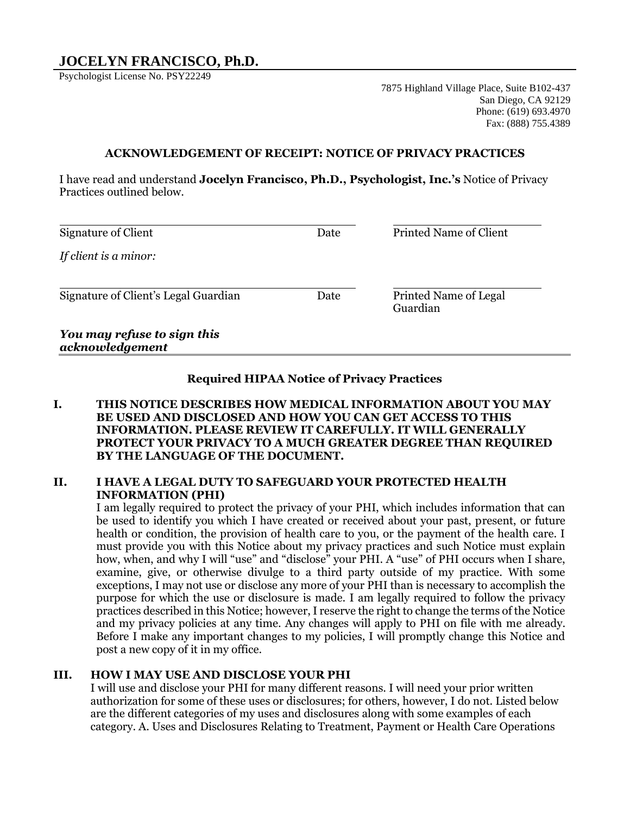# **JOCELYN FRANCISCO, Ph.D.**

Psychologist License No. PSY22249

7875 Highland Village Place, Suite B102-437 San Diego, CA 92129 Phone: (619) 693.4970 Fax: (888) 755.4389

#### **ACKNOWLEDGEMENT OF RECEIPT: NOTICE OF PRIVACY PRACTICES**

I have read and understand **Jocelyn Francisco, Ph.D., Psychologist, Inc.'s** Notice of Privacy Practices outlined below.

| Signature of Client                  | Date | Printed Name of Client |
|--------------------------------------|------|------------------------|
|                                      |      |                        |
| If client is a minor:                |      |                        |
|                                      |      |                        |
|                                      |      |                        |
| Signature of Client's Legal Guardian | Date | Printed Name of Legal  |
|                                      |      | Guardian               |
|                                      |      |                        |
|                                      |      |                        |

#### *You may refuse to sign this acknowledgement*

## **Required HIPAA Notice of Privacy Practices**

**I. THIS NOTICE DESCRIBES HOW MEDICAL INFORMATION ABOUT YOU MAY BE USED AND DISCLOSED AND HOW YOU CAN GET ACCESS TO THIS INFORMATION. PLEASE REVIEW IT CAREFULLY. IT WILL GENERALLY PROTECT YOUR PRIVACY TO A MUCH GREATER DEGREE THAN REQUIRED BY THE LANGUAGE OF THE DOCUMENT.**

### **II. I HAVE A LEGAL DUTY TO SAFEGUARD YOUR PROTECTED HEALTH INFORMATION (PHI)**

I am legally required to protect the privacy of your PHI, which includes information that can be used to identify you which I have created or received about your past, present, or future health or condition, the provision of health care to you, or the payment of the health care. I must provide you with this Notice about my privacy practices and such Notice must explain how, when, and why I will "use" and "disclose" your PHI. A "use" of PHI occurs when I share, examine, give, or otherwise divulge to a third party outside of my practice. With some exceptions, I may not use or disclose any more of your PHI than is necessary to accomplish the purpose for which the use or disclosure is made. I am legally required to follow the privacy practices described in this Notice; however, I reserve the right to change the terms of the Notice and my privacy policies at any time. Any changes will apply to PHI on file with me already. Before I make any important changes to my policies, I will promptly change this Notice and post a new copy of it in my office.

### **III. HOW I MAY USE AND DISCLOSE YOUR PHI**

I will use and disclose your PHI for many different reasons. I will need your prior written authorization for some of these uses or disclosures; for others, however, I do not. Listed below are the different categories of my uses and disclosures along with some examples of each category. A. Uses and Disclosures Relating to Treatment, Payment or Health Care Operations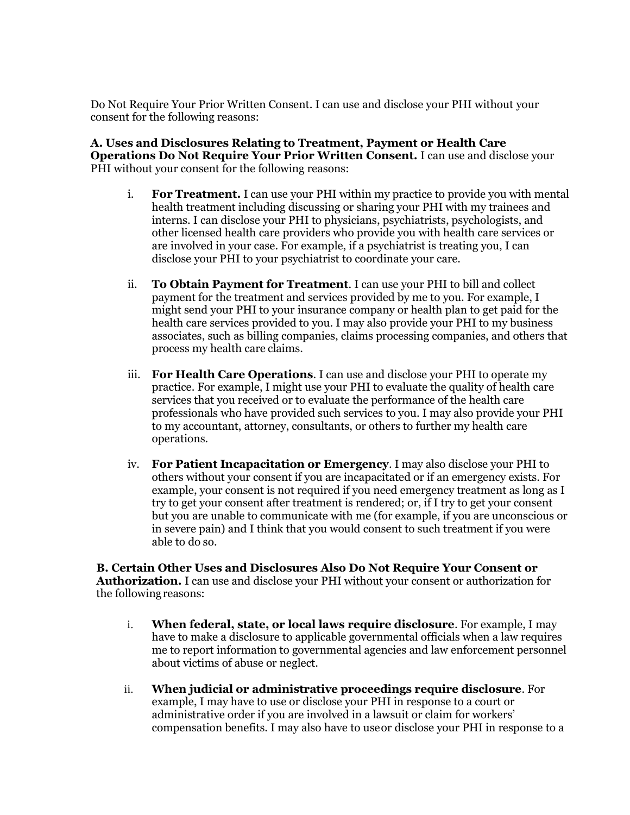Do Not Require Your Prior Written Consent. I can use and disclose your PHI without your consent for the following reasons:

**A. Uses and Disclosures Relating to Treatment, Payment or Health Care Operations Do Not Require Your Prior Written Consent.** I can use and disclose your PHI without your consent for the following reasons:

- i. **For Treatment.** I can use your PHI within my practice to provide you with mental health treatment including discussing or sharing your PHI with my trainees and interns. I can disclose your PHI to physicians, psychiatrists, psychologists, and other licensed health care providers who provide you with health care services or are involved in your case. For example, if a psychiatrist is treating you, I can disclose your PHI to your psychiatrist to coordinate your care.
- ii. **To Obtain Payment for Treatment**. I can use your PHI to bill and collect payment for the treatment and services provided by me to you. For example, I might send your PHI to your insurance company or health plan to get paid for the health care services provided to you. I may also provide your PHI to my business associates, such as billing companies, claims processing companies, and others that process my health care claims.
- iii. **For Health Care Operations**. I can use and disclose your PHI to operate my practice. For example, I might use your PHI to evaluate the quality of health care services that you received or to evaluate the performance of the health care professionals who have provided such services to you. I may also provide your PHI to my accountant, attorney, consultants, or others to further my health care operations.
- iv. **For Patient Incapacitation or Emergency**. I may also disclose your PHI to others without your consent if you are incapacitated or if an emergency exists. For example, your consent is not required if you need emergency treatment as long as I try to get your consent after treatment is rendered; or, if I try to get your consent but you are unable to communicate with me (for example, if you are unconscious or in severe pain) and I think that you would consent to such treatment if you were able to do so.

**B. Certain Other Uses and Disclosures Also Do Not Require Your Consent or Authorization.** I can use and disclose your PHI without your consent or authorization for the followingreasons:

- i. **When federal, state, or local laws require disclosure**. For example, I may have to make a disclosure to applicable governmental officials when a law requires me to report information to governmental agencies and law enforcement personnel about victims of abuse or neglect.
- ii. **When judicial or administrative proceedings require disclosure**. For example, I may have to use or disclose your PHI in response to a court or administrative order if you are involved in a lawsuit or claim for workers' compensation benefits. I may also have to useor disclose your PHI in response to a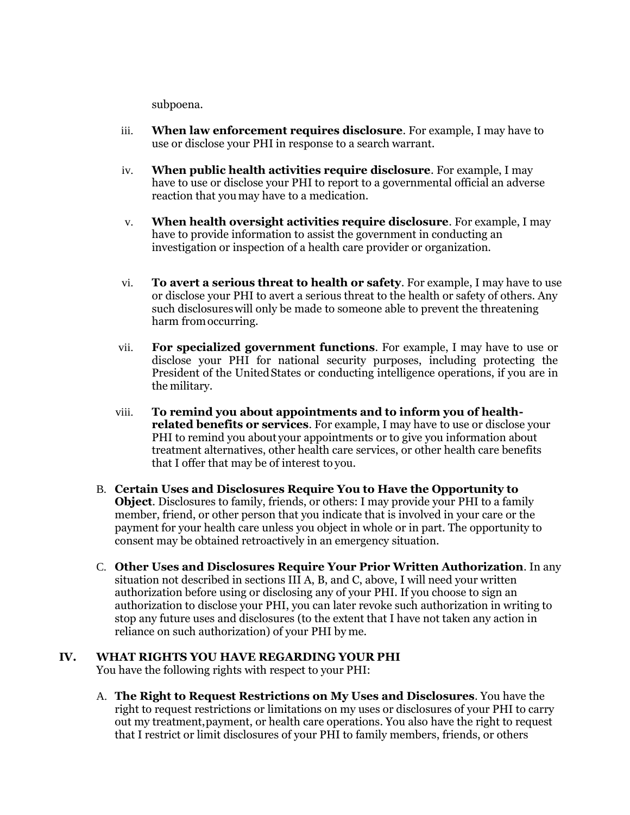subpoena.

- iii. **When law enforcement requires disclosure**. For example, I may have to use or disclose your PHI in response to a search warrant.
- iv. **When public health activities require disclosure**. For example, I may have to use or disclose your PHI to report to a governmental official an adverse reaction that youmay have to a medication.
- v. **When health oversight activities require disclosure**. For example, I may have to provide information to assist the government in conducting an investigation or inspection of a health care provider or organization.
- vi. **To avert a serious threat to health or safety**. For example, I may have to use or disclose your PHI to avert a serious threat to the health or safety of others. Any such disclosureswill only be made to someone able to prevent the threatening harm fromoccurring.
- vii. **For specialized government functions**. For example, I may have to use or disclose your PHI for national security purposes, including protecting the President of the UnitedStates or conducting intelligence operations, if you are in the military.
- viii. **To remind you about appointments and to inform you of healthrelated benefits or services**. For example, I may have to use or disclose your PHI to remind you about your appointments or to give you information about treatment alternatives, other health care services, or other health care benefits that I offer that may be of interest to you.
- B. **Certain Uses and Disclosures Require You to Have the Opportunity to Object**. Disclosures to family, friends, or others: I may provide your PHI to a family member, friend, or other person that you indicate that is involved in your care or the payment for your health care unless you object in whole or in part. The opportunity to consent may be obtained retroactively in an emergency situation.
- C. **Other Uses and Disclosures Require Your Prior Written Authorization**. In any situation not described in sections III A, B, and C, above, I will need your written authorization before using or disclosing any of your PHI. If you choose to sign an authorization to disclose your PHI, you can later revoke such authorization in writing to stop any future uses and disclosures (to the extent that I have not taken any action in reliance on such authorization) of your PHI by me.

# **IV. WHAT RIGHTS YOU HAVE REGARDING YOUR PHI**

You have the following rights with respect to your PHI:

A. **The Right to Request Restrictions on My Uses and Disclosures**. You have the right to request restrictions or limitations on my uses or disclosures of your PHI to carry out my treatment,payment, or health care operations. You also have the right to request that I restrict or limit disclosures of your PHI to family members, friends, or others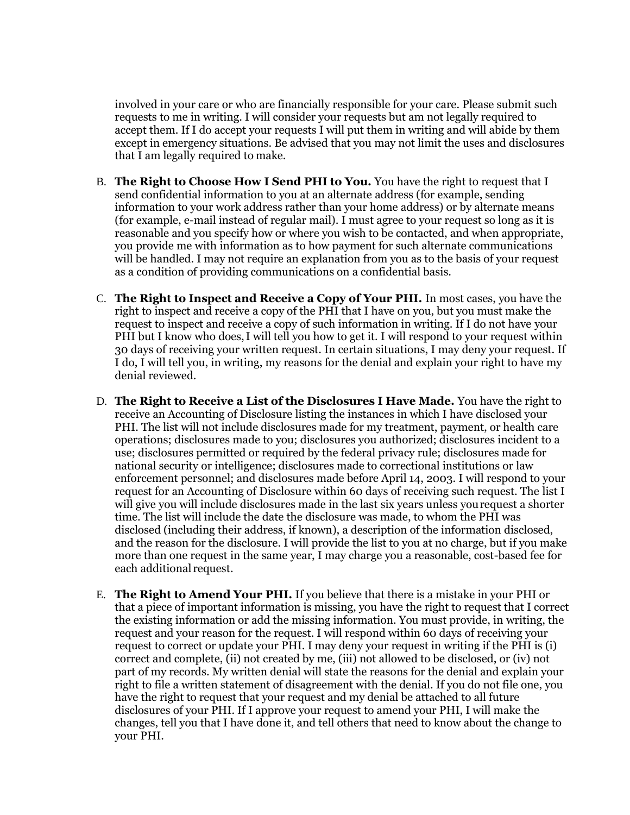involved in your care or who are financially responsible for your care. Please submit such requests to me in writing. I will consider your requests but am not legally required to accept them. If I do accept your requests I will put them in writing and will abide by them except in emergency situations. Be advised that you may not limit the uses and disclosures that I am legally required to make.

- B. **The Right to Choose How I Send PHI to You.** You have the right to request that I send confidential information to you at an alternate address (for example, sending information to your work address rather than your home address) or by alternate means (for example, e-mail instead of regular mail). I must agree to your request so long as it is reasonable and you specify how or where you wish to be contacted, and when appropriate, you provide me with information as to how payment for such alternate communications will be handled. I may not require an explanation from you as to the basis of your request as a condition of providing communications on a confidential basis.
- C. **The Right to Inspect and Receive a Copy of Your PHI.** In most cases, you have the right to inspect and receive a copy of the PHI that I have on you, but you must make the request to inspect and receive a copy of such information in writing. If I do not have your PHI but I know who does, I will tell you how to get it. I will respond to your request within 30 days of receiving your written request. In certain situations, I may deny your request. If I do, I will tell you, in writing, my reasons for the denial and explain your right to have my denial reviewed.
- D. **The Right to Receive a List of the Disclosures I Have Made.** You have the right to receive an Accounting of Disclosure listing the instances in which I have disclosed your PHI. The list will not include disclosures made for my treatment, payment, or health care operations; disclosures made to you; disclosures you authorized; disclosures incident to a use; disclosures permitted or required by the federal privacy rule; disclosures made for national security or intelligence; disclosures made to correctional institutions or law enforcement personnel; and disclosures made before April 14, 2003. I will respond to your request for an Accounting of Disclosure within 60 days of receiving such request. The list I will give you will include disclosures made in the last six years unless yourequest a shorter time. The list will include the date the disclosure was made, to whom the PHI was disclosed (including their address, if known), a description of the information disclosed, and the reason for the disclosure. I will provide the list to you at no charge, but if you make more than one request in the same year, I may charge you a reasonable, cost-based fee for each additional request.
- E. **The Right to Amend Your PHI.** If you believe that there is a mistake in your PHI or that a piece of important information is missing, you have the right to request that I correct the existing information or add the missing information. You must provide, in writing, the request and your reason for the request. I will respond within 60 days of receiving your request to correct or update your PHI. I may deny your request in writing if the PHI is (i) correct and complete, (ii) not created by me, (iii) not allowed to be disclosed, or (iv) not part of my records. My written denial will state the reasons for the denial and explain your right to file a written statement of disagreement with the denial. If you do not file one, you have the right to request that your request and my denial be attached to all future disclosures of your PHI. If I approve your request to amend your PHI, I will make the changes, tell you that I have done it, and tell others that need to know about the change to your PHI.